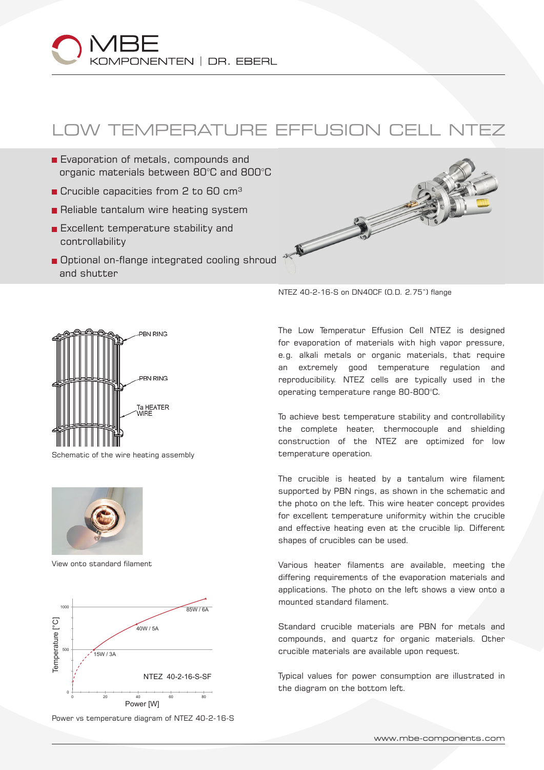## KOMPONENTEN | DR. EBERL

## LOW TEMPERATURE EFFUSION CELL NTEZ

- Evaporation of metals, compounds and organic materials between 80°C and 800°C
- $\blacksquare$  Crucible capacities from 2 to 60 cm<sup>3</sup>
- Reliable tantalum wire heating system
- **Excellent temperature stability and** controllability
- Optional on-flange integrated cooling shroud and shutter





Schematic of the wire heating assembly



View onto standard filament



Power vs temperature diagram of NTEZ 40-2-16-S

NTEZ 40-2-16-S on DN40CF (O.D. 2.75") flange

The Low Temperatur Effusion Cell NTEZ is designed for evaporation of materials with high vapor pressure, e.g. alkali metals or organic materials, that require an extremely good temperature regulation and reproducibility. NTEZ cells are typically used in the operating temperature range 80-800°C.

To achieve best temperature stability and controllability the complete heater, thermocouple and shielding construction of the NTEZ are optimized for low temperature operation.

The crucible is heated by a tantalum wire filament supported by PBN rings, as shown in the schematic and the photo on the left. This wire heater concept provides for excellent temperature uniformity within the crucible and effective heating even at the crucible lip. Different shapes of crucibles can be used.

Various heater filaments are available, meeting the differing requirements of the evaporation materials and applications. The photo on the left shows a view onto a mounted standard filament.

Standard crucible materials are PBN for metals and compounds, and quartz for organic materials. Other crucible materials are available upon request.

Typical values for power consumption are illustrated in the diagram on the bottom left.